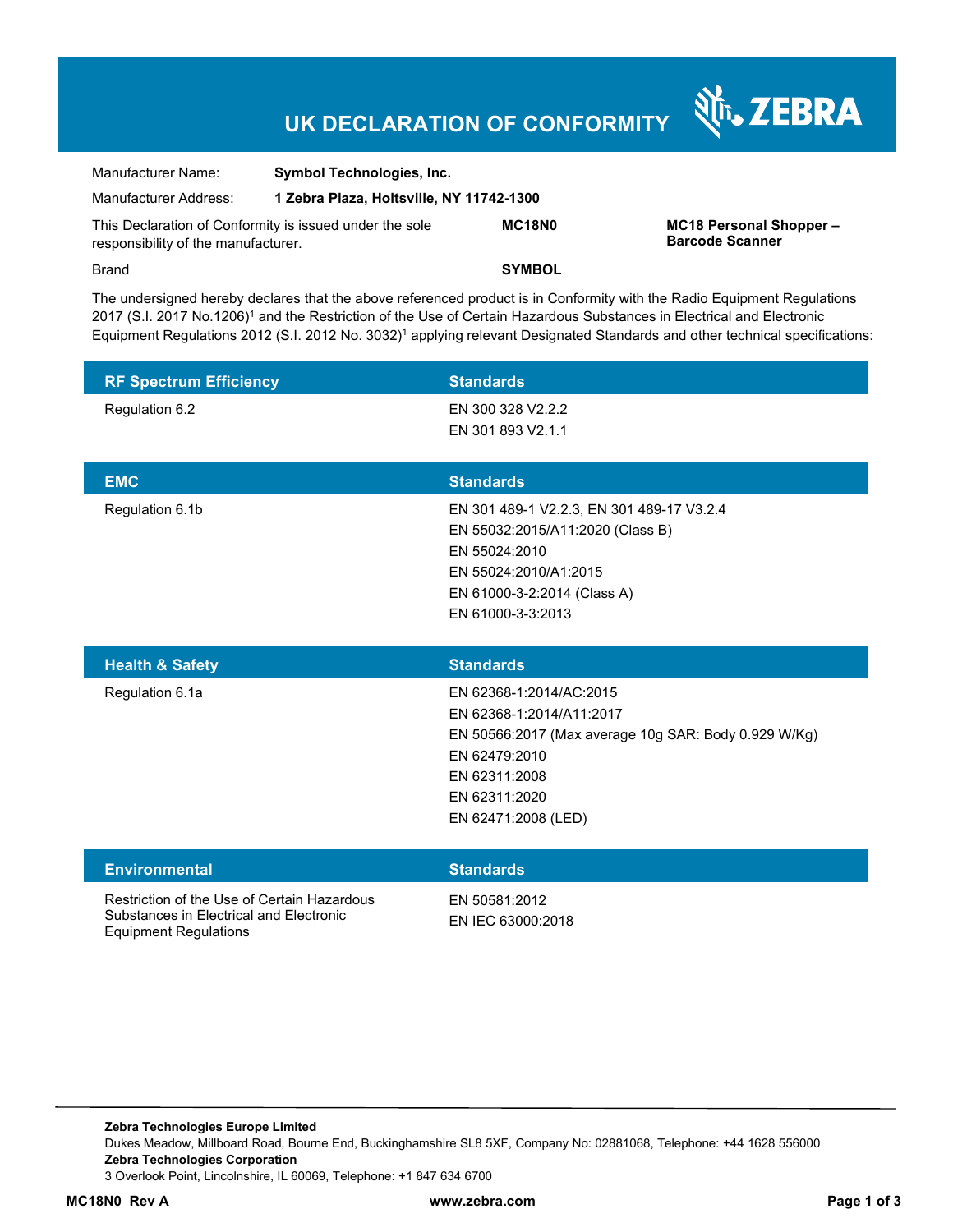# **UK DECLARATION OF CONFORMITY**

Nr. ZEBRA

| Manufacturer Name:                                                                             | <b>Symbol Technologies, Inc.</b>         |               |                                                  |
|------------------------------------------------------------------------------------------------|------------------------------------------|---------------|--------------------------------------------------|
| Manufacturer Address:                                                                          | 1 Zebra Plaza, Holtsville, NY 11742-1300 |               |                                                  |
| This Declaration of Conformity is issued under the sole<br>responsibility of the manufacturer. |                                          | MC18N0        | MC18 Personal Shopper-<br><b>Barcode Scanner</b> |
| Brand                                                                                          |                                          | <b>SYMBOL</b> |                                                  |

The undersigned hereby declares that the above referenced product is in Conformity with the Radio Equipment Regulations 2017 (S.I. 2017 No.1206)<sup>1</sup> and the Restriction of the Use of Certain Hazardous Substances in Electrical and Electronic Equipment Regulations 2012 (S.I. 2012 No. 3032)<sup>1</sup> applying relevant Designated Standards and other technical specifications:

| <b>RF Spectrum Efficiency</b> | <b>Standards</b>                                                                                                                                                                      |
|-------------------------------|---------------------------------------------------------------------------------------------------------------------------------------------------------------------------------------|
| Regulation 6.2                | EN 300 328 V2.2.2<br>EN 301 893 V2.1.1                                                                                                                                                |
| <b>EMC</b>                    | <b>Standards</b>                                                                                                                                                                      |
| Regulation 6.1b               | EN 301 489-1 V2.2.3, EN 301 489-17 V3.2.4<br>EN 55032:2015/A11:2020 (Class B)<br>EN 55024:2010<br>EN 55024:2010/A1:2015<br>EN 61000-3-2:2014 (Class A)<br>EN 61000-3-3:2013           |
|                               |                                                                                                                                                                                       |
| <b>Health &amp; Safety</b>    | <b>Standards</b>                                                                                                                                                                      |
| Regulation 6.1a               | EN 62368-1:2014/AC:2015<br>EN 62368-1:2014/A11:2017<br>EN 50566:2017 (Max average 10g SAR: Body 0.929 W/Kg)<br>EN 62479:2010<br>EN 62311:2008<br>EN 62311:2020<br>EN 62471:2008 (LED) |
| <b>Environmental</b>          | <b>Standards</b>                                                                                                                                                                      |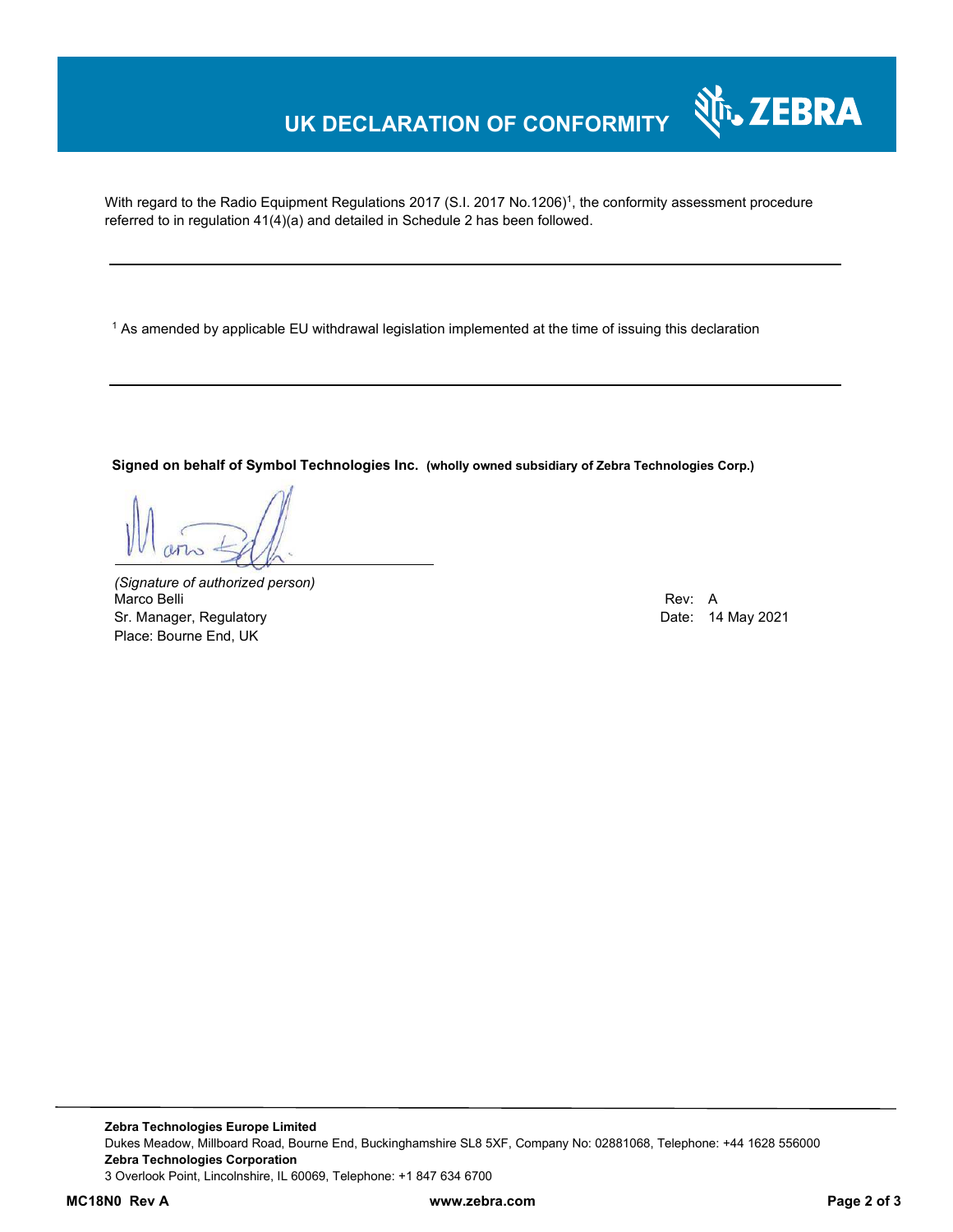## **UK DECLARATION OF CONFORMITY**

With regard to the Radio Equipment Regulations 2017 (S.I. 2017 No.1206)<sup>1</sup>, the conformity assessment procedure referred to in regulation 41(4)(a) and detailed in Schedule 2 has been followed.

 $^{\rm 1}$  As amended by applicable EU withdrawal legislation implemented at the time of issuing this declaration

**Signed on behalf of Symbol Technologies Inc. (wholly owned subsidiary of Zebra Technologies Corp.)**

*(Signature of authorized person)* Marco Belli Rev: A Sr. Manager, Regulatory **Date: 14 May 2021** Place: Bourne End, UK

र्शे<sub>ि</sub> ZEBRA